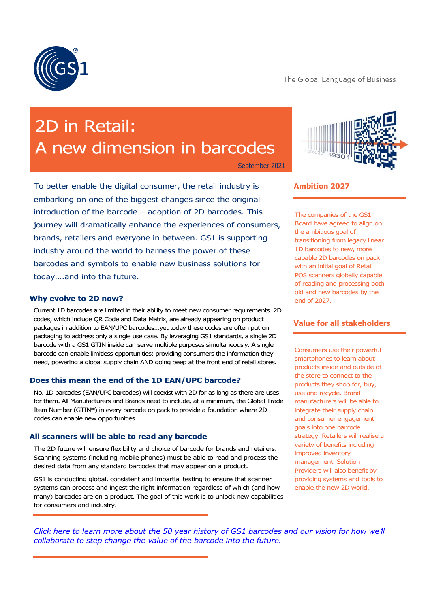

# 2D in Retail: A new dimension in barcodes

September 2021

To better enable the digital consumer, the retail industry is embarking on one of the biggest changes since the original introduction of the barcode – adoption of 2D barcodes. This journey will dramatically enhance the experiences of consumers, brands, retailers and everyone in between. GS1 is supporting industry around the world to harness the power of these barcodes and symbols to enable new business solutions for today….and into the future.

#### **Why evolve to 2D now?**

Current 1D barcodes are limited in their ability to meet new consumer requirements. 2D codes, which include QR Code and Data Matrix, are already appearing on product packages in addition to EAN/UPC barcodes…yet today these codes are often put on packaging to address only a single use case. By leveraging GS1 standards, a single 2D barcode with a GS1 GTIN inside can serve multiple purposes simultaneously. A single barcode can enable limitless opportunities: providing consumers the information they need, powering a global supply chain AND going beep at the front end of retail stores.

# **Does this mean the end of the 1D EAN/UPC barcode?**

No. 1D barcodes (EAN/UPC barcodes) will coexist with 2D for as long as there are uses for them. All Manufacturers and Brands need to include, at a minimum, the Global Trade Item Number (GTIN®) in every barcode on pack to provide a foundation where 2D codes can enable new opportunities.

#### **All scanners will be able to read any barcode**

The 2D future will ensure flexibility and choice of barcode for brands and retailers. Scanning systems (including mobile phones) must be able to read and process the desired data from any standard barcodes that may appear on a product.

GS1 is conducting global, consistent and impartial testing to ensure that scanner systems can process and ingest the right information regardless of which (and how many) barcodes are on a product. The goal of this work is to unlock new capabilities for consumers and industry.



## **Ambition 2027**

The companies of the GS1 Board have agreed to align on the ambitious goal of transitioning from legacy linear 1D barcodes to new, more capable 2D barcodes on pack with an initial goal of Retail POS scanners globally capable of reading and processing both old and new barcodes by the end of 2027.

# **Value for all stakeholders**

Consumers use their powerful smartphones to learn about products inside and outside of the store to connect to the products they shop for, buy, use and recycle. Brand manufacturers will be able to integrate their supply chain and consumer engagement goals into one barcode strategy. Retailers will realise a variety of benefits including improved inventory management. Solution Providers will also benefit by providing systems and tools to enable the new 2D world.

*[Click here to learn more about the 50 year history of GS1 barcodes](https://www.youtube.com/watch?v=ZuP5_x8CG0M) and our vision for how we*'*ll [collaborate to step change the value of the barcode into the future.](https://www.youtube.com/watch?v=ZuP5_x8CG0M)*